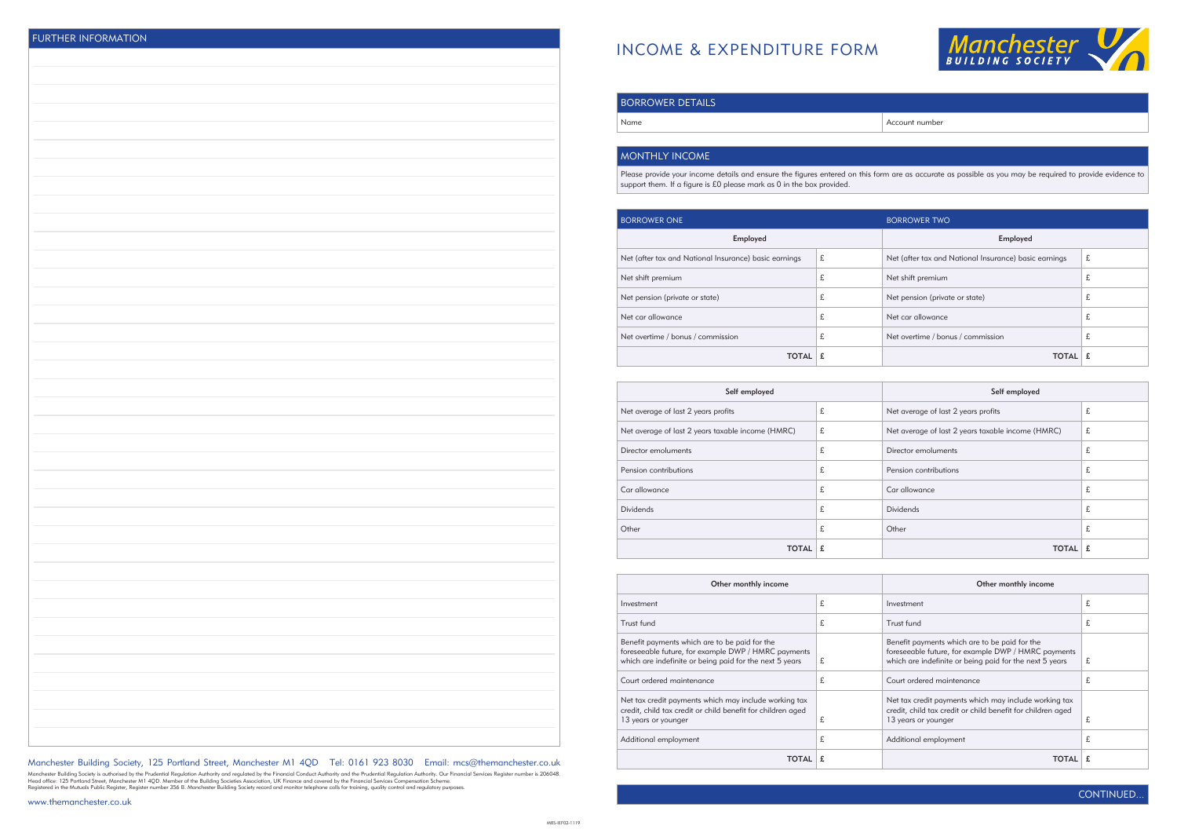

Account number

## INCOME & EXPENDITURE FORM

| Manchester Building Society, 125 Portland Street, Manchester M1 4QD Tel: 0161 923 8030 Email: mcs@themanchester.co.uk |  |  |  |  |  |
|-----------------------------------------------------------------------------------------------------------------------|--|--|--|--|--|
|-----------------------------------------------------------------------------------------------------------------------|--|--|--|--|--|

Manchester Building Society is authorised by the Prudential Regulation Authority and regulated by the Financial Conduct Authority and the Prudential Regulation Authority. Our Financial Services Register number is 206048.<br>H

| <b>BORROWER DETAILS</b> |  |
|-------------------------|--|
| Name                    |  |
|                         |  |

## MONTHLY INCOME

Please provide your income details and ensure the figures entered on this form are as accurate as possible as you may be required to provide evidence to support them. If a figure is £0 please mark as 0 in the box provided.

| <b>BORROWER ONE</b>                                   |   | <b>BORROWER TWO</b>                                   |   |
|-------------------------------------------------------|---|-------------------------------------------------------|---|
| Employed                                              |   | Employed                                              |   |
| Net (after tax and National Insurance) basic earnings | £ | Net (after tax and National Insurance) basic earnings | £ |
| Net shift premium                                     | £ | Net shift premium                                     | £ |
| Net pension (private or state)                        | £ | Net pension (private or state)                        | 尢 |
| Net car allowance                                     | £ | Net car allowance                                     | 尢 |
| Net overtime / bonus / commission                     | £ | Net overtime / bonus / commission                     | 尢 |
| <b>TOTAL</b>                                          | £ | <b>TOTAL</b>                                          |   |

| Self employed                                     |   | Self employed                                     |   |
|---------------------------------------------------|---|---------------------------------------------------|---|
| Net average of last 2 years profits               | £ | Net average of last 2 years profits               | £ |
| Net average of last 2 years taxable income (HMRC) | £ | Net average of last 2 years taxable income (HMRC) | £ |
| Director emoluments                               | £ | Director emoluments                               | £ |
| Pension contributions                             | £ | Pension contributions                             | £ |
| Car allowance                                     | £ | Car allowance                                     | £ |
| <b>Dividends</b>                                  | £ | <b>Dividends</b>                                  | £ |
| Other                                             | £ | Other                                             | £ |
| TOTAL                                             |   | TOTAL                                             |   |

| Other monthly income                                                                                                                                            |   | Other monthly income                                                                                                                                            |    |
|-----------------------------------------------------------------------------------------------------------------------------------------------------------------|---|-----------------------------------------------------------------------------------------------------------------------------------------------------------------|----|
| Investment                                                                                                                                                      | £ | Investment                                                                                                                                                      | £  |
| Trust fund                                                                                                                                                      | £ | Trust fund                                                                                                                                                      | £  |
| Benefit payments which are to be paid for the<br>foreseeable future, for example DWP / HMRC payments<br>which are indefinite or being paid for the next 5 years | £ | Benefit payments which are to be paid for the<br>foreseeable future, for example DWP / HMRC payments<br>which are indefinite or being paid for the next 5 years | £  |
| Court ordered maintenance                                                                                                                                       | £ | Court ordered maintenance                                                                                                                                       | t. |
| Net tax credit payments which may include working tax<br>credit, child tax credit or child benefit for children aged<br>13 years or younger                     | £ | Net tax credit payments which may include working tax<br>credit, child tax credit or child benefit for children aged<br>13 years or younger                     | £  |
| Additional employment                                                                                                                                           | £ | Additional employment                                                                                                                                           | £  |
| TOTAL                                                                                                                                                           |   | TOTAL                                                                                                                                                           |    |